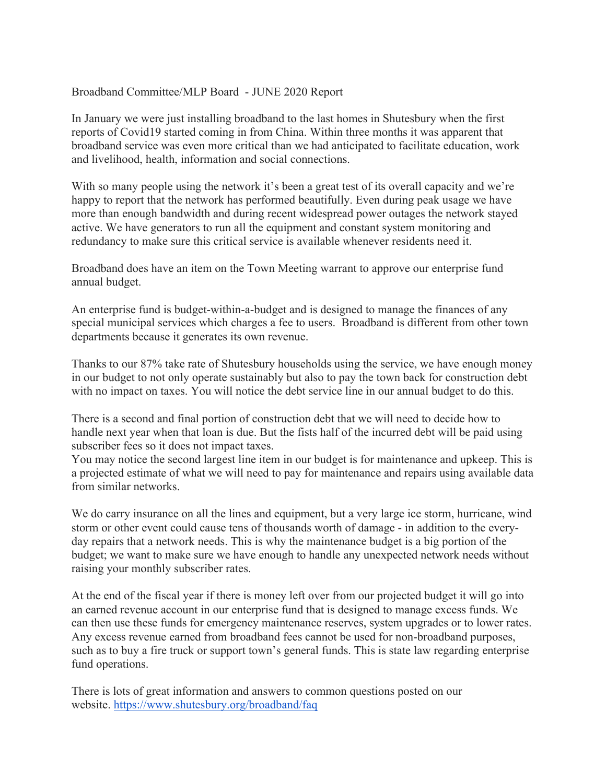## Broadband Committee/MLP Board - JUNE 2020 Report

In January we were just installing broadband to the last homes in Shutesbury when the first reports of Covid19 started coming in from China. Within three months it was apparent that broadband service was even more critical than we had anticipated to facilitate education, work and livelihood, health, information and social connections.

With so many people using the network it's been a great test of its overall capacity and we're happy to report that the network has performed beautifully. Even during peak usage we have more than enough bandwidth and during recent widespread power outages the network stayed active. We have generators to run all the equipment and constant system monitoring and redundancy to make sure this critical service is available whenever residents need it.

Broadband does have an item on the Town Meeting warrant to approve our enterprise fund annual budget.

An enterprise fund is budget-within-a-budget and is designed to manage the finances of any special municipal services which charges a fee to users. Broadband is different from other town departments because it generates its own revenue.

Thanks to our 87% take rate of Shutesbury households using the service, we have enough money in our budget to not only operate sustainably but also to pay the town back for construction debt with no impact on taxes. You will notice the debt service line in our annual budget to do this.

There is a second and final portion of construction debt that we will need to decide how to handle next year when that loan is due. But the fists half of the incurred debt will be paid using subscriber fees so it does not impact taxes.

You may notice the second largest line item in our budget is for maintenance and upkeep. This is a projected estimate of what we will need to pay for maintenance and repairs using available data from similar networks.

We do carry insurance on all the lines and equipment, but a very large ice storm, hurricane, wind storm or other event could cause tens of thousands worth of damage - in addition to the everyday repairs that a network needs. This is why the maintenance budget is a big portion of the budget; we want to make sure we have enough to handle any unexpected network needs without raising your monthly subscriber rates.

At the end of the fiscal year if there is money left over from our projected budget it will go into an earned revenue account in our enterprise fund that is designed to manage excess funds. We can then use these funds for emergency maintenance reserves, system upgrades or to lower rates. Any excess revenue earned from broadband fees cannot be used for non-broadband purposes, such as to buy a fire truck or support town's general funds. This is state law regarding enterprise fund operations.

There is lots of great information and answers to common questions posted on our website. https://www.shutesbury.org/broadband/faq